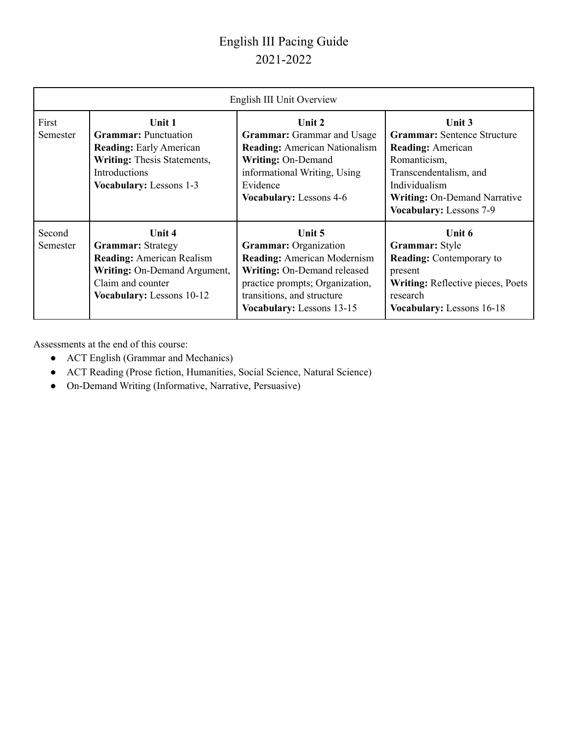## English III Pacing Guide 2021-2022

| English III Unit Overview |                                                                                                                                                           |                                                                                                                                                                                                           |                                                                                                                                                                                                |  |  |  |
|---------------------------|-----------------------------------------------------------------------------------------------------------------------------------------------------------|-----------------------------------------------------------------------------------------------------------------------------------------------------------------------------------------------------------|------------------------------------------------------------------------------------------------------------------------------------------------------------------------------------------------|--|--|--|
| First<br>Semester         | Unit 1<br><b>Grammar:</b> Punctuation<br><b>Reading:</b> Early American<br>Writing: Thesis Statements,<br>Introductions<br><b>Vocabulary:</b> Lessons 1-3 | Unit 2<br><b>Grammar:</b> Grammar and Usage<br><b>Reading:</b> American Nationalism<br>Writing: On-Demand<br>informational Writing, Using<br>Evidence<br><b>Vocabulary:</b> Lessons 4-6                   | Unit 3<br><b>Grammar:</b> Sentence Structure<br><b>Reading:</b> American<br>Romanticism,<br>Transcendentalism, and<br>Individualism<br>Writing: On-Demand Narrative<br>Vocabulary: Lessons 7-9 |  |  |  |
| Second<br>Semester        | Unit 4<br><b>Grammar: Strategy</b><br><b>Reading: American Realism</b><br>Writing: On-Demand Argument,<br>Claim and counter<br>Vocabulary: Lessons 10-12  | Unit 5<br><b>Grammar:</b> Organization<br><b>Reading:</b> American Modernism<br>Writing: On-Demand released<br>practice prompts; Organization,<br>transitions, and structure<br>Vocabulary: Lessons 13-15 | Unit 6<br>Grammar: Style<br><b>Reading:</b> Contemporary to<br>present<br><b>Writing:</b> Reflective pieces, Poets<br>research<br>Vocabulary: Lessons 16-18                                    |  |  |  |

Assessments at the end of this course:

- ACT English (Grammar and Mechanics)
- ACT Reading (Prose fiction, Humanities, Social Science, Natural Science)
- On-Demand Writing (Informative, Narrative, Persuasive)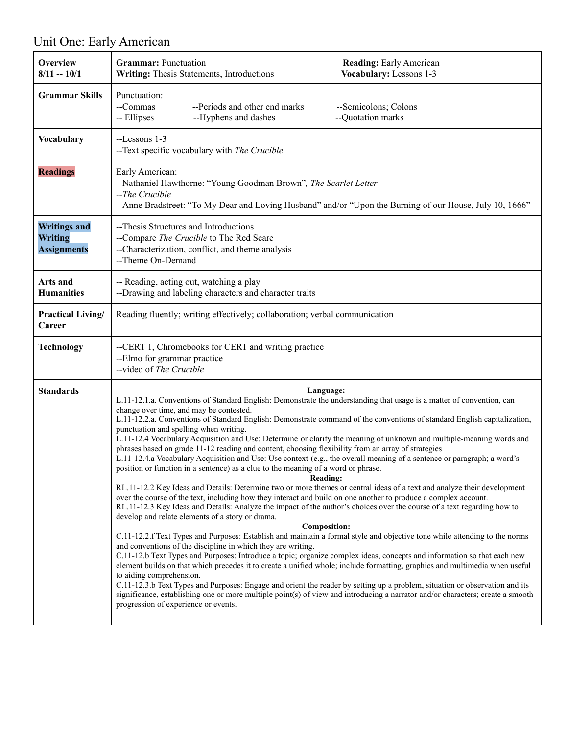# Unit One: Early American

| Overview<br>$8/11 - 10/1$                                   | <b>Grammar:</b> Punctuation<br><b>Reading:</b> Early American<br>Writing: Thesis Statements, Introductions<br>Vocabulary: Lessons 1-3                                                                                                                                                                                                                                                                                                                                                                                                                                                                                                                                                                                                                                                                                                                                                                                                                                                                                                                                                                                                                                                                                                                                                                                                                                                                                                                                                                                                                                                                                                                                                                                                                                                                                                                                                                                                                                                                                                                          |  |  |
|-------------------------------------------------------------|----------------------------------------------------------------------------------------------------------------------------------------------------------------------------------------------------------------------------------------------------------------------------------------------------------------------------------------------------------------------------------------------------------------------------------------------------------------------------------------------------------------------------------------------------------------------------------------------------------------------------------------------------------------------------------------------------------------------------------------------------------------------------------------------------------------------------------------------------------------------------------------------------------------------------------------------------------------------------------------------------------------------------------------------------------------------------------------------------------------------------------------------------------------------------------------------------------------------------------------------------------------------------------------------------------------------------------------------------------------------------------------------------------------------------------------------------------------------------------------------------------------------------------------------------------------------------------------------------------------------------------------------------------------------------------------------------------------------------------------------------------------------------------------------------------------------------------------------------------------------------------------------------------------------------------------------------------------------------------------------------------------------------------------------------------------|--|--|
| <b>Grammar Skills</b>                                       | Punctuation:<br>--Commas<br>--Periods and other end marks<br>--Semicolons; Colons<br>-- Ellipses<br>--Hyphens and dashes<br>--Quotation marks                                                                                                                                                                                                                                                                                                                                                                                                                                                                                                                                                                                                                                                                                                                                                                                                                                                                                                                                                                                                                                                                                                                                                                                                                                                                                                                                                                                                                                                                                                                                                                                                                                                                                                                                                                                                                                                                                                                  |  |  |
| Vocabulary                                                  | --Lessons 1-3<br>--Text specific vocabulary with The Crucible                                                                                                                                                                                                                                                                                                                                                                                                                                                                                                                                                                                                                                                                                                                                                                                                                                                                                                                                                                                                                                                                                                                                                                                                                                                                                                                                                                                                                                                                                                                                                                                                                                                                                                                                                                                                                                                                                                                                                                                                  |  |  |
| <b>Readings</b>                                             | Early American:<br>--Nathaniel Hawthorne: "Young Goodman Brown", The Scarlet Letter<br>--The Crucible<br>--Anne Bradstreet: "To My Dear and Loving Husband" and/or "Upon the Burning of our House, July 10, 1666"                                                                                                                                                                                                                                                                                                                                                                                                                                                                                                                                                                                                                                                                                                                                                                                                                                                                                                                                                                                                                                                                                                                                                                                                                                                                                                                                                                                                                                                                                                                                                                                                                                                                                                                                                                                                                                              |  |  |
| <b>Writings and</b><br><b>Writing</b><br><b>Assignments</b> | --Thesis Structures and Introductions<br>--Compare The Crucible to The Red Scare<br>--Characterization, conflict, and theme analysis<br>--Theme On-Demand                                                                                                                                                                                                                                                                                                                                                                                                                                                                                                                                                                                                                                                                                                                                                                                                                                                                                                                                                                                                                                                                                                                                                                                                                                                                                                                                                                                                                                                                                                                                                                                                                                                                                                                                                                                                                                                                                                      |  |  |
| Arts and<br><b>Humanities</b>                               | -- Reading, acting out, watching a play<br>--Drawing and labeling characters and character traits                                                                                                                                                                                                                                                                                                                                                                                                                                                                                                                                                                                                                                                                                                                                                                                                                                                                                                                                                                                                                                                                                                                                                                                                                                                                                                                                                                                                                                                                                                                                                                                                                                                                                                                                                                                                                                                                                                                                                              |  |  |
| Practical Living/<br>Career                                 | Reading fluently; writing effectively; collaboration; verbal communication                                                                                                                                                                                                                                                                                                                                                                                                                                                                                                                                                                                                                                                                                                                                                                                                                                                                                                                                                                                                                                                                                                                                                                                                                                                                                                                                                                                                                                                                                                                                                                                                                                                                                                                                                                                                                                                                                                                                                                                     |  |  |
| <b>Technology</b>                                           | --CERT 1, Chromebooks for CERT and writing practice<br>--Elmo for grammar practice<br>--video of The Crucible                                                                                                                                                                                                                                                                                                                                                                                                                                                                                                                                                                                                                                                                                                                                                                                                                                                                                                                                                                                                                                                                                                                                                                                                                                                                                                                                                                                                                                                                                                                                                                                                                                                                                                                                                                                                                                                                                                                                                  |  |  |
| <b>Standards</b>                                            | Language:<br>L.11-12.1.a. Conventions of Standard English: Demonstrate the understanding that usage is a matter of convention, can<br>change over time, and may be contested.<br>L.11-12.2.a. Conventions of Standard English: Demonstrate command of the conventions of standard English capitalization,<br>punctuation and spelling when writing.<br>L.11-12.4 Vocabulary Acquisition and Use: Determine or clarify the meaning of unknown and multiple-meaning words and<br>phrases based on grade 11-12 reading and content, choosing flexibility from an array of strategies<br>L.11-12.4.a Vocabulary Acquisition and Use: Use context (e.g., the overall meaning of a sentence or paragraph; a word's<br>position or function in a sentence) as a clue to the meaning of a word or phrase.<br>Reading:<br>RL.11-12.2 Key Ideas and Details: Determine two or more themes or central ideas of a text and analyze their development<br>over the course of the text, including how they interact and build on one another to produce a complex account.<br>RL.11-12.3 Key Ideas and Details: Analyze the impact of the author's choices over the course of a text regarding how to<br>develop and relate elements of a story or drama.<br><b>Composition:</b><br>C.11-12.2.f Text Types and Purposes: Establish and maintain a formal style and objective tone while attending to the norms<br>and conventions of the discipline in which they are writing.<br>C.11-12.b Text Types and Purposes: Introduce a topic; organize complex ideas, concepts and information so that each new<br>element builds on that which precedes it to create a unified whole; include formatting, graphics and multimedia when useful<br>to aiding comprehension.<br>C.11-12.3.b Text Types and Purposes: Engage and orient the reader by setting up a problem, situation or observation and its<br>significance, establishing one or more multiple point(s) of view and introducing a narrator and/or characters; create a smooth<br>progression of experience or events. |  |  |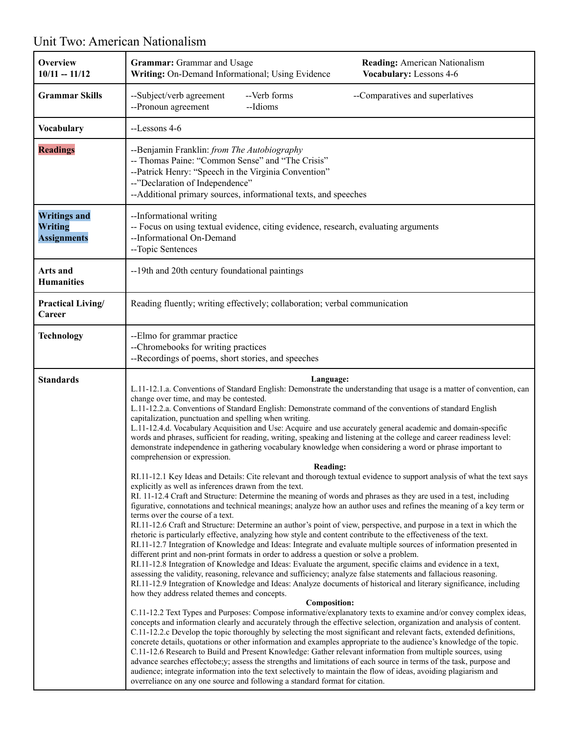#### **Overview 10/11 -- 11/12 Grammar:** Grammar and Usage **Reading:** American Nationalism **Writing:** On-Demand Informational; Using Evidence **Vocabulary:** Lessons 4-6 **Grammar Skills**  $\qquad$  --Subject/verb agreement --Verb forms --Comparatives and superlatives --Pronoun agreement --Idioms **Vocabulary** | --Lessons 4-6 **Readings** --Benjamin Franklin: *from The Autobiography* -- Thomas Paine: "Common Sense" and "The Crisis" --Patrick Henry: "Speech in the Virginia Convention" --"Declaration of Independence" --Additional primary sources, informational texts, and speeches **Writings and Writing Assignments** --Informational writing -- Focus on using textual evidence, citing evidence, research, evaluating arguments --Informational On-Demand --Topic Sentences **Arts and Humanities** --19th and 20th century foundational paintings **Practical Living/ Career** Reading fluently; writing effectively; collaboration; verbal communication **Technology** | --Elmo for grammar practice --Chromebooks for writing practices --Recordings of poems, short stories, and speeches **Standards Language:** L.11-12.1.a. Conventions of Standard English: Demonstrate the understanding that usage is a matter of convention, can change over time, and may be contested. L.11-12.2.a. Conventions of Standard English: Demonstrate command of the conventions of standard English capitalization, punctuation and spelling when writing. L.11-12.4.d. Vocabulary Acquisition and Use: Acquire and use accurately general academic and domain-specific words and phrases, sufficient for reading, writing, speaking and listening at the college and career readiness level: demonstrate independence in gathering vocabulary knowledge when considering a word or phrase important to comprehension or expression. **Reading:** RI.11-12.1 Key Ideas and Details: Cite relevant and thorough textual evidence to support analysis of what the text says explicitly as well as inferences drawn from the text. RI. 11-12.4 Craft and Structure: Determine the meaning of words and phrases as they are used in a test, including figurative, connotations and technical meanings; analyze how an author uses and refines the meaning of a key term or terms over the course of a text. RI.11-12.6 Craft and Structure: Determine an author's point of view, perspective, and purpose in a text in which the rhetoric is particularly effective, analyzing how style and content contribute to the effectiveness of the text. RI.11-12.7 Integration of Knowledge and Ideas: Integrate and evaluate multiple sources of information presented in different print and non-print formats in order to address a question or solve a problem. RI.11-12.8 Integration of Knowledge and Ideas: Evaluate the argument, specific claims and evidence in a text, assessing the validity, reasoning, relevance and sufficiency; analyze false statements and fallacious reasoning. RI.11-12.9 Integration of Knowledge and Ideas: Analyze documents of historical and literary significance, including how they address related themes and concepts. **Composition:** C.11-12.2 Text Types and Purposes: Compose informative/explanatory texts to examine and/or convey complex ideas, concepts and information clearly and accurately through the effective selection, organization and analysis of content. C.11-12.2.c Develop the topic thoroughly by selecting the most significant and relevant facts, extended definitions, concrete details, quotations or other information and examples appropriate to the audience's knowledge of the topic. C.11-12.6 Research to Build and Present Knowledge: Gather relevant information from multiple sources, using advance searches effectobe;y; assess the strengths and limitations of each source in terms of the task, purpose and audience; integrate information into the text selectively to maintain the flow of ideas, avoiding plagiarism and overreliance on any one source and following a standard format for citation.

### Unit Two: American Nationalism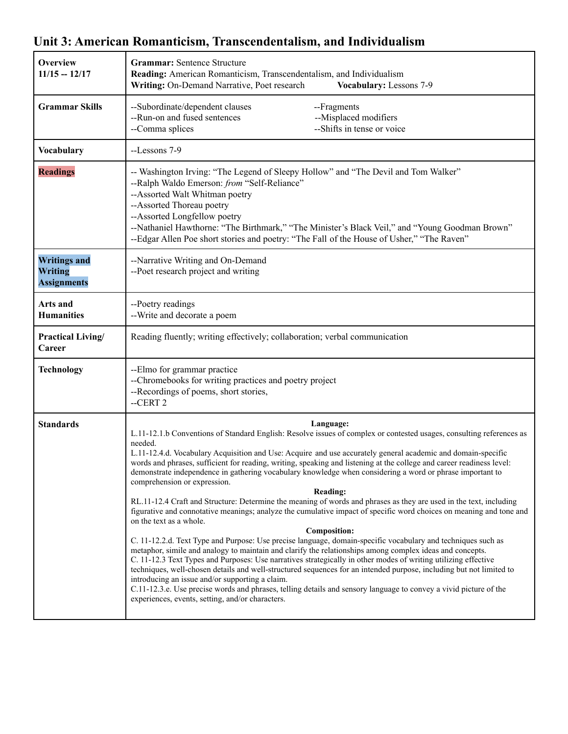#### **Overview 11/15 -- 12/17 Grammar:** Sentence Structure **Reading:** American Romanticism, Transcendentalism, and Individualism **Writing:** On-Demand Narrative, Poet research **Vocabulary:** Lessons 7-9 **Grammar Skills** --Subordinate/dependent clauses --Fragments --Run-on and fused sentences --Misplaced modifiers --Comma splices --Shifts in tense or voice **Vocabulary** --Lessons 7-9 **Readings** -- Washington Irving: "The Legend of Sleepy Hollow" and "The Devil and Tom Walker" --Ralph Waldo Emerson: *from* "Self-Reliance" --Assorted Walt Whitman poetry --Assorted Thoreau poetry --Assorted Longfellow poetry --Nathaniel Hawthorne: "The Birthmark," "The Minister's Black Veil," and "Young Goodman Brown" --Edgar Allen Poe short stories and poetry: "The Fall of the House of Usher," "The Raven" **Writings and Writing Assignments** --Narrative Writing and On-Demand --Poet research project and writing **Arts and Humanities** --Poetry readings --Write and decorate a poem **Practical Living/ Career** Reading fluently; writing effectively; collaboration; verbal communication **Technology** | --Elmo for grammar practice --Chromebooks for writing practices and poetry project --Recordings of poems, short stories, --CERT 2 **Standards Language:** L.11-12.1.b Conventions of Standard English: Resolve issues of complex or contested usages, consulting references as needed. L.11-12.4.d. Vocabulary Acquisition and Use: Acquire and use accurately general academic and domain-specific words and phrases, sufficient for reading, writing, speaking and listening at the college and career readiness level: demonstrate independence in gathering vocabulary knowledge when considering a word or phrase important to comprehension or expression. **Reading:** RL.11-12.4 Craft and Structure: Determine the meaning of words and phrases as they are used in the text, including figurative and connotative meanings; analyze the cumulative impact of specific word choices on meaning and tone and on the text as a whole. **Composition:** C. 11-12.2.d. Text Type and Purpose: Use precise language, domain-specific vocabulary and techniques such as metaphor, simile and analogy to maintain and clarify the relationships among complex ideas and concepts. C. 11-12.3 Text Types and Purposes: Use narratives strategically in other modes of writing utilizing effective techniques, well-chosen details and well-structured sequences for an intended purpose, including but not limited to introducing an issue and/or supporting a claim. C.11-12.3.e. Use precise words and phrases, telling details and sensory language to convey a vivid picture of the experiences, events, setting, and/or characters.

### **Unit 3: American Romanticism, Transcendentalism, and Individualism**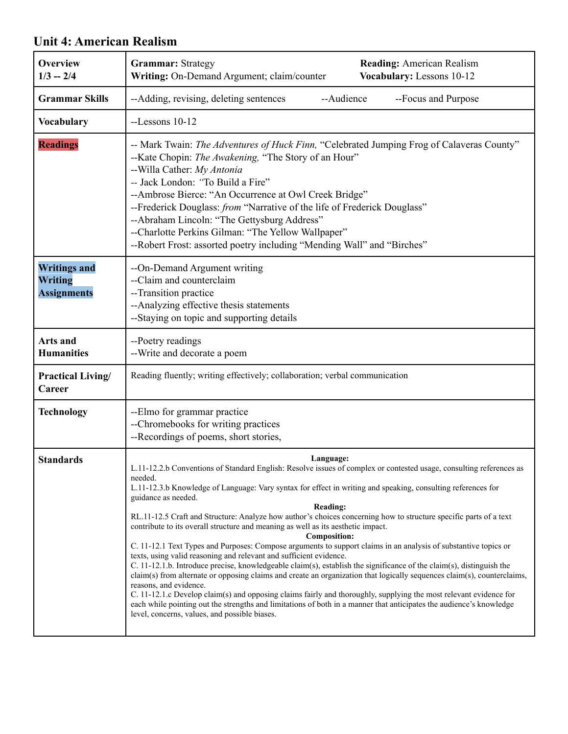#### **Overview 1/3 -- 2/4 Grammar:** Strategy **Reading:** American Realism **Writing:** On-Demand Argument; claim/counter **Vocabulary:** Lessons 10-12 **Grammar Skills** --Adding, revising, deleting sentences --Audience --Focus and Purpose **Vocabulary** --Lessons 10-12 **Readings** -- Mark Twain: *The Adventures of Huck Finn*, "Celebrated Jumping Frog of Calaveras County" --Kate Chopin: *The Awakening,* "The Story of an Hour" --Willa Cather: *My Antonia --* Jack London: *"*To Build a Fire" --Ambrose Bierce: "An Occurrence at Owl Creek Bridge" --Frederick Douglass: *from* "Narrative of the life of Frederick Douglass" --Abraham Lincoln: "The Gettysburg Address" --Charlotte Perkins Gilman: "The Yellow Wallpaper" --Robert Frost: assorted poetry including "Mending Wall" and "Birches" **Writings and Writing Assignments** --On-Demand Argument writing --Claim and counterclaim --Transition practice --Analyzing effective thesis statements --Staying on topic and supporting details **Arts and Humanities** --Poetry readings --Write and decorate a poem **Practical Living/ Career** Reading fluently; writing effectively; collaboration; verbal communication **Technology** --Elmo for grammar practice --Chromebooks for writing practices --Recordings of poems, short stories, **Standards Language:** L.11-12.2.b Conventions of Standard English: Resolve issues of complex or contested usage, consulting references as needed. L.11-12.3.b Knowledge of Language: Vary syntax for effect in writing and speaking, consulting references for guidance as needed. **Reading:** RL.11-12.5 Craft and Structure: Analyze how author's choices concerning how to structure specific parts of a text contribute to its overall structure and meaning as well as its aesthetic impact. **Composition:** C. 11-12.1 Text Types and Purposes: Compose arguments to support claims in an analysis of substantive topics or texts, using valid reasoning and relevant and sufficient evidence. C. 11-12.1.b. Introduce precise, knowledgeable claim(s), establish the significance of the claim(s), distinguish the claim(s) from alternate or opposing claims and create an organization that logically sequences claim(s), counterclaims, reasons, and evidence. C. 11-12.1.c Develop claim(s) and opposing claims fairly and thoroughly, supplying the most relevant evidence for each while pointing out the strengths and limitations of both in a manner that anticipates the audience's knowledge level, concerns, values, and possible biases.

### **Unit 4: American Realism**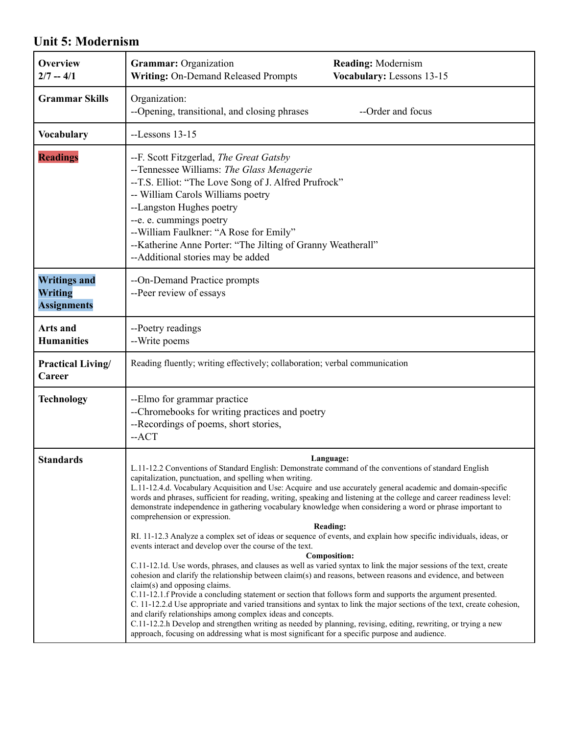### **Unit 5: Modernism**

| <b>Overview</b><br>$2/7 - 4/1$                              | Grammar: Organization<br><b>Reading: Modernism</b><br><b>Writing: On-Demand Released Prompts</b><br>Vocabulary: Lessons 13-15                                                                                                                                                                                                                                                                                                                                                                                                                                                                                                                                                                                                                                                                                                                                                                                                                                                                                                                                                                                                                                                                                                                                                                                                                                                                                                                                                                                                                                                                          |
|-------------------------------------------------------------|--------------------------------------------------------------------------------------------------------------------------------------------------------------------------------------------------------------------------------------------------------------------------------------------------------------------------------------------------------------------------------------------------------------------------------------------------------------------------------------------------------------------------------------------------------------------------------------------------------------------------------------------------------------------------------------------------------------------------------------------------------------------------------------------------------------------------------------------------------------------------------------------------------------------------------------------------------------------------------------------------------------------------------------------------------------------------------------------------------------------------------------------------------------------------------------------------------------------------------------------------------------------------------------------------------------------------------------------------------------------------------------------------------------------------------------------------------------------------------------------------------------------------------------------------------------------------------------------------------|
| <b>Grammar Skills</b>                                       | Organization:<br>--Opening, transitional, and closing phrases<br>--Order and focus                                                                                                                                                                                                                                                                                                                                                                                                                                                                                                                                                                                                                                                                                                                                                                                                                                                                                                                                                                                                                                                                                                                                                                                                                                                                                                                                                                                                                                                                                                                     |
| <b>Vocabulary</b>                                           | $-Lessons$ 13-15                                                                                                                                                                                                                                                                                                                                                                                                                                                                                                                                                                                                                                                                                                                                                                                                                                                                                                                                                                                                                                                                                                                                                                                                                                                                                                                                                                                                                                                                                                                                                                                       |
| <b>Readings</b>                                             | --F. Scott Fitzgerlad, The Great Gatsby<br>--Tennessee Williams: The Glass Menagerie<br>--T.S. Elliot: "The Love Song of J. Alfred Prufrock"<br>-- William Carols Williams poetry<br>--Langston Hughes poetry<br>--e. e. cummings poetry<br>--William Faulkner: "A Rose for Emily"<br>--Katherine Anne Porter: "The Jilting of Granny Weatherall"<br>--Additional stories may be added                                                                                                                                                                                                                                                                                                                                                                                                                                                                                                                                                                                                                                                                                                                                                                                                                                                                                                                                                                                                                                                                                                                                                                                                                 |
| <b>Writings and</b><br><b>Writing</b><br><b>Assignments</b> | --On-Demand Practice prompts<br>--Peer review of essays                                                                                                                                                                                                                                                                                                                                                                                                                                                                                                                                                                                                                                                                                                                                                                                                                                                                                                                                                                                                                                                                                                                                                                                                                                                                                                                                                                                                                                                                                                                                                |
| Arts and<br><b>Humanities</b>                               | --Poetry readings<br>--Write poems                                                                                                                                                                                                                                                                                                                                                                                                                                                                                                                                                                                                                                                                                                                                                                                                                                                                                                                                                                                                                                                                                                                                                                                                                                                                                                                                                                                                                                                                                                                                                                     |
| <b>Practical Living/</b><br>Career                          | Reading fluently; writing effectively; collaboration; verbal communication                                                                                                                                                                                                                                                                                                                                                                                                                                                                                                                                                                                                                                                                                                                                                                                                                                                                                                                                                                                                                                                                                                                                                                                                                                                                                                                                                                                                                                                                                                                             |
| <b>Technology</b>                                           | --Elmo for grammar practice<br>--Chromebooks for writing practices and poetry<br>--Recordings of poems, short stories,<br>$-ACT$                                                                                                                                                                                                                                                                                                                                                                                                                                                                                                                                                                                                                                                                                                                                                                                                                                                                                                                                                                                                                                                                                                                                                                                                                                                                                                                                                                                                                                                                       |
| <b>Standards</b>                                            | Language:<br>L.11-12.2 Conventions of Standard English: Demonstrate command of the conventions of standard English<br>capitalization, punctuation, and spelling when writing.<br>L.11-12.4.d. Vocabulary Acquisition and Use: Acquire and use accurately general academic and domain-specific<br>words and phrases, sufficient for reading, writing, speaking and listening at the college and career readiness level:<br>demonstrate independence in gathering vocabulary knowledge when considering a word or phrase important to<br>comprehension or expression.<br><b>Reading:</b><br>RI. 11-12.3 Analyze a complex set of ideas or sequence of events, and explain how specific individuals, ideas, or<br>events interact and develop over the course of the text.<br><b>Composition:</b><br>C.11-12.1d. Use words, phrases, and clauses as well as varied syntax to link the major sessions of the text, create<br>cohesion and clarify the relationship between claim(s) and reasons, between reasons and evidence, and between<br>claim(s) and opposing claims.<br>C.11-12.1.f Provide a concluding statement or section that follows form and supports the argument presented.<br>C. 11-12.2.d Use appropriate and varied transitions and syntax to link the major sections of the text, create cohesion,<br>and clarify relationships among complex ideas and concepts.<br>C.11-12.2.h Develop and strengthen writing as needed by planning, revising, editing, rewriting, or trying a new<br>approach, focusing on addressing what is most significant for a specific purpose and audience. |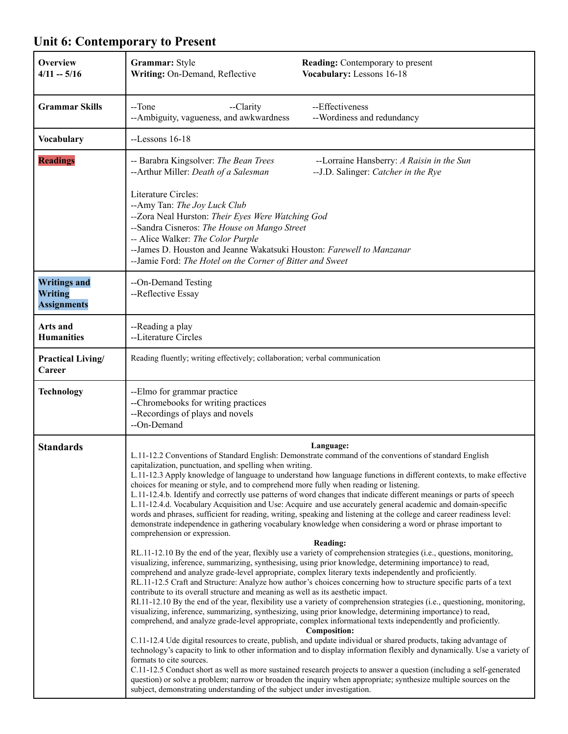| Overview<br>$4/11 - 5/16$                            | Grammar: Style<br><b>Reading:</b> Contemporary to present<br>Vocabulary: Lessons 16-18<br>Writing: On-Demand, Reflective                                                                                                                                                                                                                                                                                                                                                                                                                                                                                                                                                                                                                                                                                                                                                                                                                                                                                                                                                                                                                                                                                                                                                                                                                                                                                                                                                                                                                                                                                                                                                                                                                                                                                                                                                                                                                                                                                                                                                                                                                                                                                                                                                                                                                                                                                                                                                       |
|------------------------------------------------------|--------------------------------------------------------------------------------------------------------------------------------------------------------------------------------------------------------------------------------------------------------------------------------------------------------------------------------------------------------------------------------------------------------------------------------------------------------------------------------------------------------------------------------------------------------------------------------------------------------------------------------------------------------------------------------------------------------------------------------------------------------------------------------------------------------------------------------------------------------------------------------------------------------------------------------------------------------------------------------------------------------------------------------------------------------------------------------------------------------------------------------------------------------------------------------------------------------------------------------------------------------------------------------------------------------------------------------------------------------------------------------------------------------------------------------------------------------------------------------------------------------------------------------------------------------------------------------------------------------------------------------------------------------------------------------------------------------------------------------------------------------------------------------------------------------------------------------------------------------------------------------------------------------------------------------------------------------------------------------------------------------------------------------------------------------------------------------------------------------------------------------------------------------------------------------------------------------------------------------------------------------------------------------------------------------------------------------------------------------------------------------------------------------------------------------------------------------------------------------|
| <b>Grammar Skills</b>                                | --Effectiveness<br>--Tone<br>--Clarity<br>--Ambiguity, vagueness, and awkwardness<br>--Wordiness and redundancy                                                                                                                                                                                                                                                                                                                                                                                                                                                                                                                                                                                                                                                                                                                                                                                                                                                                                                                                                                                                                                                                                                                                                                                                                                                                                                                                                                                                                                                                                                                                                                                                                                                                                                                                                                                                                                                                                                                                                                                                                                                                                                                                                                                                                                                                                                                                                                |
| <b>Vocabulary</b>                                    | $-Lessons$ 16-18                                                                                                                                                                                                                                                                                                                                                                                                                                                                                                                                                                                                                                                                                                                                                                                                                                                                                                                                                                                                                                                                                                                                                                                                                                                                                                                                                                                                                                                                                                                                                                                                                                                                                                                                                                                                                                                                                                                                                                                                                                                                                                                                                                                                                                                                                                                                                                                                                                                               |
| <b>Readings</b>                                      | -- Barabra Kingsolver: The Bean Trees<br>--Lorraine Hansberry: A Raisin in the Sun<br>--Arthur Miller: Death of a Salesman<br>-- J.D. Salinger: Catcher in the Rye                                                                                                                                                                                                                                                                                                                                                                                                                                                                                                                                                                                                                                                                                                                                                                                                                                                                                                                                                                                                                                                                                                                                                                                                                                                                                                                                                                                                                                                                                                                                                                                                                                                                                                                                                                                                                                                                                                                                                                                                                                                                                                                                                                                                                                                                                                             |
|                                                      | Literature Circles:<br>--Amy Tan: The Joy Luck Club<br>--Zora Neal Hurston: Their Eyes Were Watching God<br>--Sandra Cisneros: The House on Mango Street<br>-- Alice Walker: The Color Purple<br>--James D. Houston and Jeanne Wakatsuki Houston: Farewell to Manzanar<br>-- Jamie Ford: The Hotel on the Corner of Bitter and Sweet                                                                                                                                                                                                                                                                                                                                                                                                                                                                                                                                                                                                                                                                                                                                                                                                                                                                                                                                                                                                                                                                                                                                                                                                                                                                                                                                                                                                                                                                                                                                                                                                                                                                                                                                                                                                                                                                                                                                                                                                                                                                                                                                           |
| <b>Writings and</b><br>Writing<br><b>Assignments</b> | --On-Demand Testing<br>--Reflective Essay                                                                                                                                                                                                                                                                                                                                                                                                                                                                                                                                                                                                                                                                                                                                                                                                                                                                                                                                                                                                                                                                                                                                                                                                                                                                                                                                                                                                                                                                                                                                                                                                                                                                                                                                                                                                                                                                                                                                                                                                                                                                                                                                                                                                                                                                                                                                                                                                                                      |
| Arts and<br><b>Humanities</b>                        | --Reading a play<br>--Literature Circles                                                                                                                                                                                                                                                                                                                                                                                                                                                                                                                                                                                                                                                                                                                                                                                                                                                                                                                                                                                                                                                                                                                                                                                                                                                                                                                                                                                                                                                                                                                                                                                                                                                                                                                                                                                                                                                                                                                                                                                                                                                                                                                                                                                                                                                                                                                                                                                                                                       |
| Practical Living/<br>Career                          | Reading fluently; writing effectively; collaboration; verbal communication                                                                                                                                                                                                                                                                                                                                                                                                                                                                                                                                                                                                                                                                                                                                                                                                                                                                                                                                                                                                                                                                                                                                                                                                                                                                                                                                                                                                                                                                                                                                                                                                                                                                                                                                                                                                                                                                                                                                                                                                                                                                                                                                                                                                                                                                                                                                                                                                     |
| <b>Technology</b>                                    | --Elmo for grammar practice<br>--Chromebooks for writing practices<br>--Recordings of plays and novels<br>--On-Demand                                                                                                                                                                                                                                                                                                                                                                                                                                                                                                                                                                                                                                                                                                                                                                                                                                                                                                                                                                                                                                                                                                                                                                                                                                                                                                                                                                                                                                                                                                                                                                                                                                                                                                                                                                                                                                                                                                                                                                                                                                                                                                                                                                                                                                                                                                                                                          |
| <b>Standards</b>                                     | Language:<br>L.11-12.2 Conventions of Standard English: Demonstrate command of the conventions of standard English<br>capitalization, punctuation, and spelling when writing.<br>L.11-12.3 Apply knowledge of language to understand how language functions in different contexts, to make effective<br>choices for meaning or style, and to comprehend more fully when reading or listening.<br>L.11-12.4.b. Identify and correctly use patterns of word changes that indicate different meanings or parts of speech<br>L.11-12.4.d. Vocabulary Acquisition and Use: Acquire and use accurately general academic and domain-specific<br>words and phrases, sufficient for reading, writing, speaking and listening at the college and career readiness level:<br>demonstrate independence in gathering vocabulary knowledge when considering a word or phrase important to<br>comprehension or expression.<br><b>Reading:</b><br>RL.11-12.10 By the end of the year, flexibly use a variety of comprehension strategies (i.e., questions, monitoring,<br>visualizing, inference, summarizing, synthesising, using prior knowledge, determining importance) to read,<br>comprehend and analyze grade-level appropriate, complex literary texts independently and proficiently.<br>RL.11-12.5 Craft and Structure: Analyze how author's choices concerning how to structure specific parts of a text<br>contribute to its overall structure and meaning as well as its aesthetic impact.<br>RI.11-12.10 By the end of the year, flexibility use a variety of comprehension strategies (i.e., questioning, monitoring,<br>visualizing, inference, summarizing, synthesizing, using prior knowledge, determining importance) to read,<br>comprehend, and analyze grade-level appropriate, complex informational texts independently and proficiently.<br><b>Composition:</b><br>C.11-12.4 Ude digital resources to create, publish, and update individual or shared products, taking advantage of<br>technology's capacity to link to other information and to display information flexibly and dynamically. Use a variety of<br>formats to cite sources.<br>C.11-12.5 Conduct short as well as more sustained research projects to answer a question (including a self-generated<br>question) or solve a problem; narrow or broaden the inquiry when appropriate; synthesize multiple sources on the<br>subject, demonstrating understanding of the subject under investigation. |

# **Unit 6: Contemporary to Present**